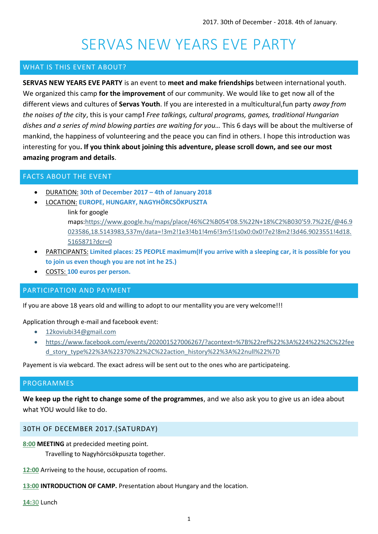# SERVAS NEW YEARS EVE PARTY

# WHAT IS THIS EVENT ABOUT?

**SERVAS NEW YEARS EVE PARTY** is an event to **meet and make friendships** between international youth. We organized this camp **for the improvement** of our community. We would like to get now all of the different views and cultures of **Servas Youth**. If you are interested in a multicultural,fun party *away from the noises of the city*, this is your camp**!** *Free talkings, cultural programs, games, traditional Hungarian dishes and a series of mind blowing parties are waiting for you…* This 6 days will be about the multiverse of mankind, the happiness of volunteering and the peace you can find in others. I hope this introduction was interesting for you**. If you think about joining this adventure, please scroll down, and see our most amazing program and details**.

# FACTS ABOUT THE EVENT

- DURATION: **30th of December 2017 – 4th of January 2018**
- LOCATION: **EUROPE, HUNGARY, NAGYHÖRCSÖKPUSZTA**
	- link for google

maps[:https://www.google.hu/maps/place/46%C2%B054'08.5%22N+18%C2%B030'59.7%22E/@46.9](https://www.google.hu/maps/place/46%C2%B054) [023586,18.5143983,537m/data=!3m2!1e3!4b1!4m6!3m5!1s0x0:0x0!7e2!8m2!3d46.9023551!4d18.](https://www.google.hu/maps/place/46%C2%B054) [5165871?dcr=0](https://www.google.hu/maps/place/46%C2%B054)

- PARTICIPANTS: **Limited places: 25 PEOPLE maximum(If you arrive with a sleeping car, it is possible for you to join us even though you are not int he 25.)**
- COSTS: **100 euros per person.**

# PARTICIPATION AND PAYMENT

If you are above 18 years old and willing to adopt to our mentallity you are very welcome!!!

# Application through e-mail and facebook event:

- [12koviubi34@gmail.com](mailto:12koviubi34@gmail.com)
- [https://www.facebook.com/events/202001527006267/?acontext=%7B%22ref%22%3A%224%22%2C%22fee](https://www.facebook.com/events/202001527006267/?acontext=%7B%22ref%22%3A%224%22%2C%22feed_story_type%22%3A%22370%22%2C%22action_history%22%3A%22null%22%7D) [d\\_story\\_type%22%3A%22370%22%2C%22action\\_history%22%3A%22null%22%7D](https://www.facebook.com/events/202001527006267/?acontext=%7B%22ref%22%3A%224%22%2C%22feed_story_type%22%3A%22370%22%2C%22action_history%22%3A%22null%22%7D)

Payement is via webcard. The exact adress will be sent out to the ones who are participateing.

# PROGRAMMES

**We keep up the right to change some of the programmes**, and we also ask you to give us an idea about what YOU would like to do.

# 30TH OF DECEMBER 2017.(SATURDAY)

## **8:00 MEETING** at predecided meeting point.

Travelling to Nagyhörcsökpuszta together.

**12:00** Arriveing to the house, occupation of rooms.

**13:00 INTRODUCTION OF CAMP.** Presentation about Hungary and the location.

**14:**30 Lunch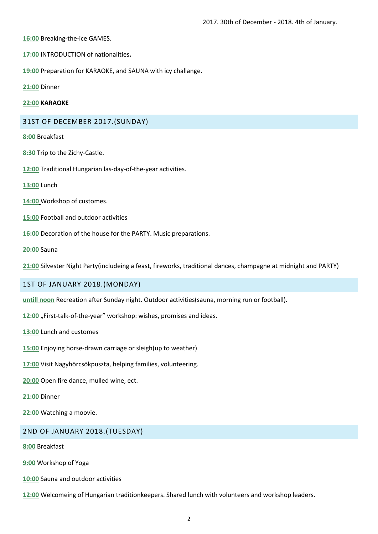**16:00** Breaking-the-ice GAMES.

- **17:00** INTRODUCTION of nationalities**.**
- **19:00** Preparation for KARAOKE, and SAUNA with icy challange**.**
- **21:00** Dinner

#### **22:00 KARAOKE**

### 31ST OF DECEMBER 2017.(SUNDAY)

**8:00** Breakfast

- **8:30** Trip to the Zichy-Castle.
- **12:00** Traditional Hungarian las-day-of-the-year activities.
- **13:00** Lunch
- **14:00** Workshop of customes.
- **15:00** Football and outdoor activities
- **16:00** Decoration of the house for the PARTY. Music preparations.
- **20:00** Sauna

**21:00** Silvester Night Party(includeing a feast, fireworks, traditional dances, champagne at midnight and PARTY)

## 1ST OF JANUARY 2018.(MONDAY)

**untill noon** Recreation after Sunday night. Outdoor activities(sauna, morning run or football).

12:00 "First-talk-of-the-year" workshop: wishes, promises and ideas.

- **13:00** Lunch and customes
- **15:00** Enjoying horse-drawn carriage or sleigh(up to weather)
- **17:00** Visit Nagyhörcsökpuszta, helping families, volunteering.

**20:00** Open fire dance, mulled wine, ect.

- **21:00** Dinner
- **22:00** Watching a moovie.

#### 2ND OF JANUARY 2018.(TUESDAY)

**8:00** Breakfast

- **9:00** Workshop of Yoga
- **10:00** Sauna and outdoor activities
- **12:00** Welcomeing of Hungarian traditionkeepers. Shared lunch with volunteers and workshop leaders.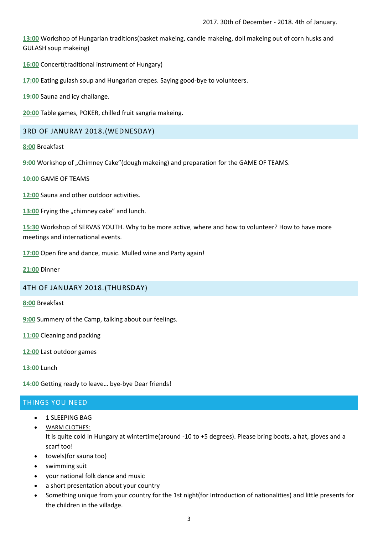**13:00** Workshop of Hungarian traditions(basket makeing, candle makeing, doll makeing out of corn husks and GULASH soup makeing)

**16:00** Concert(traditional instrument of Hungary)

**17:00** Eating gulash soup and Hungarian crepes. Saying good-bye to volunteers.

**19:00** Sauna and icy challange.

**20:00** Table games, POKER, chilled fruit sangria makeing.

## 3RD OF JANURAY 2018.(WEDNESDAY)

**8:00** Breakfast

9:00 Workshop of "Chimney Cake" (dough makeing) and preparation for the GAME OF TEAMS.

**10:00** GAME OF TEAMS

**12:00** Sauna and other outdoor activities.

13:00 Frying the "chimney cake" and lunch.

**15:30** Workshop of SERVAS YOUTH. Why to be more active, where and how to volunteer? How to have more meetings and international events.

**17:00** Open fire and dance, music. Mulled wine and Party again!

**21:00** Dinner

## 4TH OF JANUARY 2018.(THURSDAY)

**8:00** Breakfast

**9:00** Summery of the Camp, talking about our feelings.

**11:00** Cleaning and packing

**12:00** Last outdoor games

**13:00** Lunch

**14:00** Getting ready to leave… bye-bye Dear friends!

## THINGS YOU NEED

- 1 SLEEPING BAG
- WARM CLOTHES: It is quite cold in Hungary at wintertime(around -10 to +5 degrees). Please bring boots, a hat, gloves and a scarf too!
- towels(for sauna too)
- swimming suit
- your national folk dance and music
- a short presentation about your country
- Something unique from your country for the 1st night(for Introduction of nationalities) and little presents for the children in the villadge.